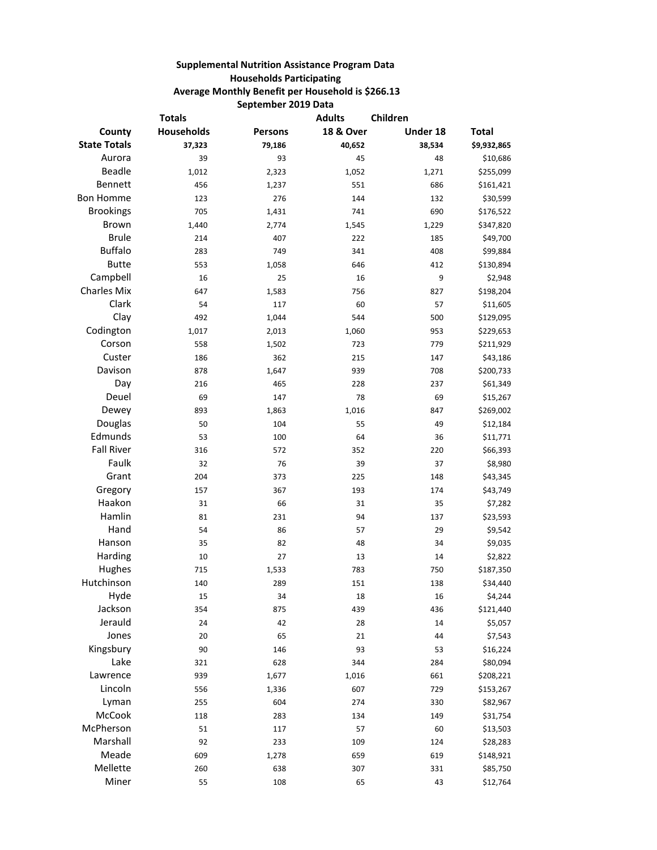## **Supplemental Nutrition Assistance Program Data Households Participating Average Monthly Benefit per Household is \$266.13 September 2019 Data**

| <b>18 &amp; Over</b><br>Households<br>Under 18<br><b>Total</b><br>County<br><b>Persons</b><br><b>State Totals</b><br>37,323<br>40,652<br>38,534<br>\$9,932,865<br>79,186<br>Aurora<br>39<br>45<br>48<br>\$10,686<br>93<br><b>Beadle</b><br>1,012<br>1,271<br>\$255,099<br>2,323<br>1,052<br>Bennett<br>456<br>551<br>686<br>1,237<br>\$161,421<br><b>Bon Homme</b><br>144<br>\$30,599<br>123<br>276<br>132<br><b>Brookings</b><br>705<br>1,431<br>741<br>690<br>\$176,522<br><b>Brown</b><br>1,440<br>\$347,820<br>2,774<br>1,545<br>1,229<br><b>Brule</b><br>214<br>222<br>185<br>\$49,700<br>407<br><b>Buffalo</b><br>283<br>341<br>408<br>\$99,884<br>749<br><b>Butte</b><br>646<br>412<br>\$130,894<br>553<br>1,058<br>Campbell<br>16<br>25<br>16<br>9<br>\$2,948<br><b>Charles Mix</b><br>\$198,204<br>647<br>1,583<br>756<br>827<br>Clark<br>54<br>57<br>\$11,605<br>117<br>60<br>Clay<br>492<br>1,044<br>544<br>500<br>\$129,095<br>Codington<br>953<br>1,017<br>2,013<br>1,060<br>\$229,653<br>Corson<br>558<br>723<br>779<br>1,502<br>\$211,929<br>Custer<br>186<br>362<br>215<br>147<br>\$43,186<br>Davison<br>878<br>939<br>708<br>\$200,733<br>1,647<br>Day<br>465<br>228<br>237<br>\$61,349<br>216<br>Deuel<br>69<br>147<br>78<br>69<br>\$15,267<br>Dewey<br>893<br>847<br>\$269,002<br>1,863<br>1,016<br>Douglas<br>50<br>104<br>55<br>49<br>\$12,184<br>Edmunds<br>53<br>100<br>64<br>\$11,771<br>36<br><b>Fall River</b><br>316<br>352<br>220<br>\$66,393<br>572<br>Faulk<br>32<br>76<br>39<br>\$8,980<br>37<br>Grant<br>204<br>225<br>\$43,345<br>373<br>148<br>Gregory<br>157<br>193<br>\$43,749<br>367<br>174<br>Haakon<br>31<br>66<br>35<br>\$7,282<br>31<br>Hamlin<br>231<br>\$23,593<br>81<br>94<br>137<br>Hand<br>54<br>86<br>57<br>29<br>\$9,542<br>Hanson<br>35<br>82<br>\$9,035<br>48<br>34<br>Harding<br>27<br>\$2,822<br>10<br>13<br>14<br>Hughes<br>783<br>750<br>\$187,350<br>715<br>1,533<br>Hutchinson<br>151<br>140<br>289<br>138<br>\$34,440<br>Hyde<br>15<br>34<br>18<br>16<br>\$4,244<br>Jackson<br>354<br>439<br>436<br>\$121,440<br>875<br>Jerauld<br>24<br>42<br>28<br>14<br>\$5,057<br>Jones<br>20<br>65<br>21<br>44<br>\$7,543<br>Kingsbury<br>90<br>146<br>93<br>53<br>\$16,224<br>Lake<br>\$80,094<br>628<br>344<br>284<br>321<br>Lawrence<br>661<br>\$208,221<br>939<br>1,677<br>1,016<br>Lincoln<br>607<br>556<br>1,336<br>729<br>\$153,267<br>Lyman<br>604<br>274<br>255<br>330<br>\$82,967<br>McCook<br>134<br>118<br>283<br>149<br>\$31,754<br>McPherson<br>51<br>57<br>60<br>117<br>\$13,503<br>Marshall<br>92<br>109<br>233<br>124<br>\$28,283<br>Meade<br>609<br>659<br>619<br>\$148,921<br>1,278 |          | <b>Totals</b> |     | <b>Adults</b> | Children |          |
|------------------------------------------------------------------------------------------------------------------------------------------------------------------------------------------------------------------------------------------------------------------------------------------------------------------------------------------------------------------------------------------------------------------------------------------------------------------------------------------------------------------------------------------------------------------------------------------------------------------------------------------------------------------------------------------------------------------------------------------------------------------------------------------------------------------------------------------------------------------------------------------------------------------------------------------------------------------------------------------------------------------------------------------------------------------------------------------------------------------------------------------------------------------------------------------------------------------------------------------------------------------------------------------------------------------------------------------------------------------------------------------------------------------------------------------------------------------------------------------------------------------------------------------------------------------------------------------------------------------------------------------------------------------------------------------------------------------------------------------------------------------------------------------------------------------------------------------------------------------------------------------------------------------------------------------------------------------------------------------------------------------------------------------------------------------------------------------------------------------------------------------------------------------------------------------------------------------------------------------------------------------------------------------------------------------------------------------------------------------------------------------------------------------------------------------------------------------------------------------------------------------------------------------------------------------------------------------------------------------------------------------------------|----------|---------------|-----|---------------|----------|----------|
|                                                                                                                                                                                                                                                                                                                                                                                                                                                                                                                                                                                                                                                                                                                                                                                                                                                                                                                                                                                                                                                                                                                                                                                                                                                                                                                                                                                                                                                                                                                                                                                                                                                                                                                                                                                                                                                                                                                                                                                                                                                                                                                                                                                                                                                                                                                                                                                                                                                                                                                                                                                                                                                      |          |               |     |               |          |          |
|                                                                                                                                                                                                                                                                                                                                                                                                                                                                                                                                                                                                                                                                                                                                                                                                                                                                                                                                                                                                                                                                                                                                                                                                                                                                                                                                                                                                                                                                                                                                                                                                                                                                                                                                                                                                                                                                                                                                                                                                                                                                                                                                                                                                                                                                                                                                                                                                                                                                                                                                                                                                                                                      |          |               |     |               |          |          |
|                                                                                                                                                                                                                                                                                                                                                                                                                                                                                                                                                                                                                                                                                                                                                                                                                                                                                                                                                                                                                                                                                                                                                                                                                                                                                                                                                                                                                                                                                                                                                                                                                                                                                                                                                                                                                                                                                                                                                                                                                                                                                                                                                                                                                                                                                                                                                                                                                                                                                                                                                                                                                                                      |          |               |     |               |          |          |
|                                                                                                                                                                                                                                                                                                                                                                                                                                                                                                                                                                                                                                                                                                                                                                                                                                                                                                                                                                                                                                                                                                                                                                                                                                                                                                                                                                                                                                                                                                                                                                                                                                                                                                                                                                                                                                                                                                                                                                                                                                                                                                                                                                                                                                                                                                                                                                                                                                                                                                                                                                                                                                                      |          |               |     |               |          |          |
|                                                                                                                                                                                                                                                                                                                                                                                                                                                                                                                                                                                                                                                                                                                                                                                                                                                                                                                                                                                                                                                                                                                                                                                                                                                                                                                                                                                                                                                                                                                                                                                                                                                                                                                                                                                                                                                                                                                                                                                                                                                                                                                                                                                                                                                                                                                                                                                                                                                                                                                                                                                                                                                      |          |               |     |               |          |          |
|                                                                                                                                                                                                                                                                                                                                                                                                                                                                                                                                                                                                                                                                                                                                                                                                                                                                                                                                                                                                                                                                                                                                                                                                                                                                                                                                                                                                                                                                                                                                                                                                                                                                                                                                                                                                                                                                                                                                                                                                                                                                                                                                                                                                                                                                                                                                                                                                                                                                                                                                                                                                                                                      |          |               |     |               |          |          |
|                                                                                                                                                                                                                                                                                                                                                                                                                                                                                                                                                                                                                                                                                                                                                                                                                                                                                                                                                                                                                                                                                                                                                                                                                                                                                                                                                                                                                                                                                                                                                                                                                                                                                                                                                                                                                                                                                                                                                                                                                                                                                                                                                                                                                                                                                                                                                                                                                                                                                                                                                                                                                                                      |          |               |     |               |          |          |
|                                                                                                                                                                                                                                                                                                                                                                                                                                                                                                                                                                                                                                                                                                                                                                                                                                                                                                                                                                                                                                                                                                                                                                                                                                                                                                                                                                                                                                                                                                                                                                                                                                                                                                                                                                                                                                                                                                                                                                                                                                                                                                                                                                                                                                                                                                                                                                                                                                                                                                                                                                                                                                                      |          |               |     |               |          |          |
|                                                                                                                                                                                                                                                                                                                                                                                                                                                                                                                                                                                                                                                                                                                                                                                                                                                                                                                                                                                                                                                                                                                                                                                                                                                                                                                                                                                                                                                                                                                                                                                                                                                                                                                                                                                                                                                                                                                                                                                                                                                                                                                                                                                                                                                                                                                                                                                                                                                                                                                                                                                                                                                      |          |               |     |               |          |          |
|                                                                                                                                                                                                                                                                                                                                                                                                                                                                                                                                                                                                                                                                                                                                                                                                                                                                                                                                                                                                                                                                                                                                                                                                                                                                                                                                                                                                                                                                                                                                                                                                                                                                                                                                                                                                                                                                                                                                                                                                                                                                                                                                                                                                                                                                                                                                                                                                                                                                                                                                                                                                                                                      |          |               |     |               |          |          |
|                                                                                                                                                                                                                                                                                                                                                                                                                                                                                                                                                                                                                                                                                                                                                                                                                                                                                                                                                                                                                                                                                                                                                                                                                                                                                                                                                                                                                                                                                                                                                                                                                                                                                                                                                                                                                                                                                                                                                                                                                                                                                                                                                                                                                                                                                                                                                                                                                                                                                                                                                                                                                                                      |          |               |     |               |          |          |
|                                                                                                                                                                                                                                                                                                                                                                                                                                                                                                                                                                                                                                                                                                                                                                                                                                                                                                                                                                                                                                                                                                                                                                                                                                                                                                                                                                                                                                                                                                                                                                                                                                                                                                                                                                                                                                                                                                                                                                                                                                                                                                                                                                                                                                                                                                                                                                                                                                                                                                                                                                                                                                                      |          |               |     |               |          |          |
|                                                                                                                                                                                                                                                                                                                                                                                                                                                                                                                                                                                                                                                                                                                                                                                                                                                                                                                                                                                                                                                                                                                                                                                                                                                                                                                                                                                                                                                                                                                                                                                                                                                                                                                                                                                                                                                                                                                                                                                                                                                                                                                                                                                                                                                                                                                                                                                                                                                                                                                                                                                                                                                      |          |               |     |               |          |          |
|                                                                                                                                                                                                                                                                                                                                                                                                                                                                                                                                                                                                                                                                                                                                                                                                                                                                                                                                                                                                                                                                                                                                                                                                                                                                                                                                                                                                                                                                                                                                                                                                                                                                                                                                                                                                                                                                                                                                                                                                                                                                                                                                                                                                                                                                                                                                                                                                                                                                                                                                                                                                                                                      |          |               |     |               |          |          |
|                                                                                                                                                                                                                                                                                                                                                                                                                                                                                                                                                                                                                                                                                                                                                                                                                                                                                                                                                                                                                                                                                                                                                                                                                                                                                                                                                                                                                                                                                                                                                                                                                                                                                                                                                                                                                                                                                                                                                                                                                                                                                                                                                                                                                                                                                                                                                                                                                                                                                                                                                                                                                                                      |          |               |     |               |          |          |
|                                                                                                                                                                                                                                                                                                                                                                                                                                                                                                                                                                                                                                                                                                                                                                                                                                                                                                                                                                                                                                                                                                                                                                                                                                                                                                                                                                                                                                                                                                                                                                                                                                                                                                                                                                                                                                                                                                                                                                                                                                                                                                                                                                                                                                                                                                                                                                                                                                                                                                                                                                                                                                                      |          |               |     |               |          |          |
|                                                                                                                                                                                                                                                                                                                                                                                                                                                                                                                                                                                                                                                                                                                                                                                                                                                                                                                                                                                                                                                                                                                                                                                                                                                                                                                                                                                                                                                                                                                                                                                                                                                                                                                                                                                                                                                                                                                                                                                                                                                                                                                                                                                                                                                                                                                                                                                                                                                                                                                                                                                                                                                      |          |               |     |               |          |          |
|                                                                                                                                                                                                                                                                                                                                                                                                                                                                                                                                                                                                                                                                                                                                                                                                                                                                                                                                                                                                                                                                                                                                                                                                                                                                                                                                                                                                                                                                                                                                                                                                                                                                                                                                                                                                                                                                                                                                                                                                                                                                                                                                                                                                                                                                                                                                                                                                                                                                                                                                                                                                                                                      |          |               |     |               |          |          |
|                                                                                                                                                                                                                                                                                                                                                                                                                                                                                                                                                                                                                                                                                                                                                                                                                                                                                                                                                                                                                                                                                                                                                                                                                                                                                                                                                                                                                                                                                                                                                                                                                                                                                                                                                                                                                                                                                                                                                                                                                                                                                                                                                                                                                                                                                                                                                                                                                                                                                                                                                                                                                                                      |          |               |     |               |          |          |
|                                                                                                                                                                                                                                                                                                                                                                                                                                                                                                                                                                                                                                                                                                                                                                                                                                                                                                                                                                                                                                                                                                                                                                                                                                                                                                                                                                                                                                                                                                                                                                                                                                                                                                                                                                                                                                                                                                                                                                                                                                                                                                                                                                                                                                                                                                                                                                                                                                                                                                                                                                                                                                                      |          |               |     |               |          |          |
|                                                                                                                                                                                                                                                                                                                                                                                                                                                                                                                                                                                                                                                                                                                                                                                                                                                                                                                                                                                                                                                                                                                                                                                                                                                                                                                                                                                                                                                                                                                                                                                                                                                                                                                                                                                                                                                                                                                                                                                                                                                                                                                                                                                                                                                                                                                                                                                                                                                                                                                                                                                                                                                      |          |               |     |               |          |          |
|                                                                                                                                                                                                                                                                                                                                                                                                                                                                                                                                                                                                                                                                                                                                                                                                                                                                                                                                                                                                                                                                                                                                                                                                                                                                                                                                                                                                                                                                                                                                                                                                                                                                                                                                                                                                                                                                                                                                                                                                                                                                                                                                                                                                                                                                                                                                                                                                                                                                                                                                                                                                                                                      |          |               |     |               |          |          |
|                                                                                                                                                                                                                                                                                                                                                                                                                                                                                                                                                                                                                                                                                                                                                                                                                                                                                                                                                                                                                                                                                                                                                                                                                                                                                                                                                                                                                                                                                                                                                                                                                                                                                                                                                                                                                                                                                                                                                                                                                                                                                                                                                                                                                                                                                                                                                                                                                                                                                                                                                                                                                                                      |          |               |     |               |          |          |
|                                                                                                                                                                                                                                                                                                                                                                                                                                                                                                                                                                                                                                                                                                                                                                                                                                                                                                                                                                                                                                                                                                                                                                                                                                                                                                                                                                                                                                                                                                                                                                                                                                                                                                                                                                                                                                                                                                                                                                                                                                                                                                                                                                                                                                                                                                                                                                                                                                                                                                                                                                                                                                                      |          |               |     |               |          |          |
|                                                                                                                                                                                                                                                                                                                                                                                                                                                                                                                                                                                                                                                                                                                                                                                                                                                                                                                                                                                                                                                                                                                                                                                                                                                                                                                                                                                                                                                                                                                                                                                                                                                                                                                                                                                                                                                                                                                                                                                                                                                                                                                                                                                                                                                                                                                                                                                                                                                                                                                                                                                                                                                      |          |               |     |               |          |          |
|                                                                                                                                                                                                                                                                                                                                                                                                                                                                                                                                                                                                                                                                                                                                                                                                                                                                                                                                                                                                                                                                                                                                                                                                                                                                                                                                                                                                                                                                                                                                                                                                                                                                                                                                                                                                                                                                                                                                                                                                                                                                                                                                                                                                                                                                                                                                                                                                                                                                                                                                                                                                                                                      |          |               |     |               |          |          |
|                                                                                                                                                                                                                                                                                                                                                                                                                                                                                                                                                                                                                                                                                                                                                                                                                                                                                                                                                                                                                                                                                                                                                                                                                                                                                                                                                                                                                                                                                                                                                                                                                                                                                                                                                                                                                                                                                                                                                                                                                                                                                                                                                                                                                                                                                                                                                                                                                                                                                                                                                                                                                                                      |          |               |     |               |          |          |
|                                                                                                                                                                                                                                                                                                                                                                                                                                                                                                                                                                                                                                                                                                                                                                                                                                                                                                                                                                                                                                                                                                                                                                                                                                                                                                                                                                                                                                                                                                                                                                                                                                                                                                                                                                                                                                                                                                                                                                                                                                                                                                                                                                                                                                                                                                                                                                                                                                                                                                                                                                                                                                                      |          |               |     |               |          |          |
|                                                                                                                                                                                                                                                                                                                                                                                                                                                                                                                                                                                                                                                                                                                                                                                                                                                                                                                                                                                                                                                                                                                                                                                                                                                                                                                                                                                                                                                                                                                                                                                                                                                                                                                                                                                                                                                                                                                                                                                                                                                                                                                                                                                                                                                                                                                                                                                                                                                                                                                                                                                                                                                      |          |               |     |               |          |          |
|                                                                                                                                                                                                                                                                                                                                                                                                                                                                                                                                                                                                                                                                                                                                                                                                                                                                                                                                                                                                                                                                                                                                                                                                                                                                                                                                                                                                                                                                                                                                                                                                                                                                                                                                                                                                                                                                                                                                                                                                                                                                                                                                                                                                                                                                                                                                                                                                                                                                                                                                                                                                                                                      |          |               |     |               |          |          |
|                                                                                                                                                                                                                                                                                                                                                                                                                                                                                                                                                                                                                                                                                                                                                                                                                                                                                                                                                                                                                                                                                                                                                                                                                                                                                                                                                                                                                                                                                                                                                                                                                                                                                                                                                                                                                                                                                                                                                                                                                                                                                                                                                                                                                                                                                                                                                                                                                                                                                                                                                                                                                                                      |          |               |     |               |          |          |
|                                                                                                                                                                                                                                                                                                                                                                                                                                                                                                                                                                                                                                                                                                                                                                                                                                                                                                                                                                                                                                                                                                                                                                                                                                                                                                                                                                                                                                                                                                                                                                                                                                                                                                                                                                                                                                                                                                                                                                                                                                                                                                                                                                                                                                                                                                                                                                                                                                                                                                                                                                                                                                                      |          |               |     |               |          |          |
|                                                                                                                                                                                                                                                                                                                                                                                                                                                                                                                                                                                                                                                                                                                                                                                                                                                                                                                                                                                                                                                                                                                                                                                                                                                                                                                                                                                                                                                                                                                                                                                                                                                                                                                                                                                                                                                                                                                                                                                                                                                                                                                                                                                                                                                                                                                                                                                                                                                                                                                                                                                                                                                      |          |               |     |               |          |          |
|                                                                                                                                                                                                                                                                                                                                                                                                                                                                                                                                                                                                                                                                                                                                                                                                                                                                                                                                                                                                                                                                                                                                                                                                                                                                                                                                                                                                                                                                                                                                                                                                                                                                                                                                                                                                                                                                                                                                                                                                                                                                                                                                                                                                                                                                                                                                                                                                                                                                                                                                                                                                                                                      |          |               |     |               |          |          |
|                                                                                                                                                                                                                                                                                                                                                                                                                                                                                                                                                                                                                                                                                                                                                                                                                                                                                                                                                                                                                                                                                                                                                                                                                                                                                                                                                                                                                                                                                                                                                                                                                                                                                                                                                                                                                                                                                                                                                                                                                                                                                                                                                                                                                                                                                                                                                                                                                                                                                                                                                                                                                                                      |          |               |     |               |          |          |
|                                                                                                                                                                                                                                                                                                                                                                                                                                                                                                                                                                                                                                                                                                                                                                                                                                                                                                                                                                                                                                                                                                                                                                                                                                                                                                                                                                                                                                                                                                                                                                                                                                                                                                                                                                                                                                                                                                                                                                                                                                                                                                                                                                                                                                                                                                                                                                                                                                                                                                                                                                                                                                                      |          |               |     |               |          |          |
|                                                                                                                                                                                                                                                                                                                                                                                                                                                                                                                                                                                                                                                                                                                                                                                                                                                                                                                                                                                                                                                                                                                                                                                                                                                                                                                                                                                                                                                                                                                                                                                                                                                                                                                                                                                                                                                                                                                                                                                                                                                                                                                                                                                                                                                                                                                                                                                                                                                                                                                                                                                                                                                      |          |               |     |               |          |          |
|                                                                                                                                                                                                                                                                                                                                                                                                                                                                                                                                                                                                                                                                                                                                                                                                                                                                                                                                                                                                                                                                                                                                                                                                                                                                                                                                                                                                                                                                                                                                                                                                                                                                                                                                                                                                                                                                                                                                                                                                                                                                                                                                                                                                                                                                                                                                                                                                                                                                                                                                                                                                                                                      |          |               |     |               |          |          |
|                                                                                                                                                                                                                                                                                                                                                                                                                                                                                                                                                                                                                                                                                                                                                                                                                                                                                                                                                                                                                                                                                                                                                                                                                                                                                                                                                                                                                                                                                                                                                                                                                                                                                                                                                                                                                                                                                                                                                                                                                                                                                                                                                                                                                                                                                                                                                                                                                                                                                                                                                                                                                                                      |          |               |     |               |          |          |
|                                                                                                                                                                                                                                                                                                                                                                                                                                                                                                                                                                                                                                                                                                                                                                                                                                                                                                                                                                                                                                                                                                                                                                                                                                                                                                                                                                                                                                                                                                                                                                                                                                                                                                                                                                                                                                                                                                                                                                                                                                                                                                                                                                                                                                                                                                                                                                                                                                                                                                                                                                                                                                                      |          |               |     |               |          |          |
|                                                                                                                                                                                                                                                                                                                                                                                                                                                                                                                                                                                                                                                                                                                                                                                                                                                                                                                                                                                                                                                                                                                                                                                                                                                                                                                                                                                                                                                                                                                                                                                                                                                                                                                                                                                                                                                                                                                                                                                                                                                                                                                                                                                                                                                                                                                                                                                                                                                                                                                                                                                                                                                      |          |               |     |               |          |          |
|                                                                                                                                                                                                                                                                                                                                                                                                                                                                                                                                                                                                                                                                                                                                                                                                                                                                                                                                                                                                                                                                                                                                                                                                                                                                                                                                                                                                                                                                                                                                                                                                                                                                                                                                                                                                                                                                                                                                                                                                                                                                                                                                                                                                                                                                                                                                                                                                                                                                                                                                                                                                                                                      |          |               |     |               |          |          |
|                                                                                                                                                                                                                                                                                                                                                                                                                                                                                                                                                                                                                                                                                                                                                                                                                                                                                                                                                                                                                                                                                                                                                                                                                                                                                                                                                                                                                                                                                                                                                                                                                                                                                                                                                                                                                                                                                                                                                                                                                                                                                                                                                                                                                                                                                                                                                                                                                                                                                                                                                                                                                                                      |          |               |     |               |          |          |
|                                                                                                                                                                                                                                                                                                                                                                                                                                                                                                                                                                                                                                                                                                                                                                                                                                                                                                                                                                                                                                                                                                                                                                                                                                                                                                                                                                                                                                                                                                                                                                                                                                                                                                                                                                                                                                                                                                                                                                                                                                                                                                                                                                                                                                                                                                                                                                                                                                                                                                                                                                                                                                                      |          |               |     |               |          |          |
|                                                                                                                                                                                                                                                                                                                                                                                                                                                                                                                                                                                                                                                                                                                                                                                                                                                                                                                                                                                                                                                                                                                                                                                                                                                                                                                                                                                                                                                                                                                                                                                                                                                                                                                                                                                                                                                                                                                                                                                                                                                                                                                                                                                                                                                                                                                                                                                                                                                                                                                                                                                                                                                      |          |               |     |               |          |          |
|                                                                                                                                                                                                                                                                                                                                                                                                                                                                                                                                                                                                                                                                                                                                                                                                                                                                                                                                                                                                                                                                                                                                                                                                                                                                                                                                                                                                                                                                                                                                                                                                                                                                                                                                                                                                                                                                                                                                                                                                                                                                                                                                                                                                                                                                                                                                                                                                                                                                                                                                                                                                                                                      |          |               |     |               |          |          |
|                                                                                                                                                                                                                                                                                                                                                                                                                                                                                                                                                                                                                                                                                                                                                                                                                                                                                                                                                                                                                                                                                                                                                                                                                                                                                                                                                                                                                                                                                                                                                                                                                                                                                                                                                                                                                                                                                                                                                                                                                                                                                                                                                                                                                                                                                                                                                                                                                                                                                                                                                                                                                                                      |          |               |     |               |          |          |
|                                                                                                                                                                                                                                                                                                                                                                                                                                                                                                                                                                                                                                                                                                                                                                                                                                                                                                                                                                                                                                                                                                                                                                                                                                                                                                                                                                                                                                                                                                                                                                                                                                                                                                                                                                                                                                                                                                                                                                                                                                                                                                                                                                                                                                                                                                                                                                                                                                                                                                                                                                                                                                                      |          |               |     |               |          |          |
|                                                                                                                                                                                                                                                                                                                                                                                                                                                                                                                                                                                                                                                                                                                                                                                                                                                                                                                                                                                                                                                                                                                                                                                                                                                                                                                                                                                                                                                                                                                                                                                                                                                                                                                                                                                                                                                                                                                                                                                                                                                                                                                                                                                                                                                                                                                                                                                                                                                                                                                                                                                                                                                      | Mellette | 260           | 638 | 307           | 331      | \$85,750 |
| Miner<br>55<br>108<br>65<br>43<br>\$12,764                                                                                                                                                                                                                                                                                                                                                                                                                                                                                                                                                                                                                                                                                                                                                                                                                                                                                                                                                                                                                                                                                                                                                                                                                                                                                                                                                                                                                                                                                                                                                                                                                                                                                                                                                                                                                                                                                                                                                                                                                                                                                                                                                                                                                                                                                                                                                                                                                                                                                                                                                                                                           |          |               |     |               |          |          |